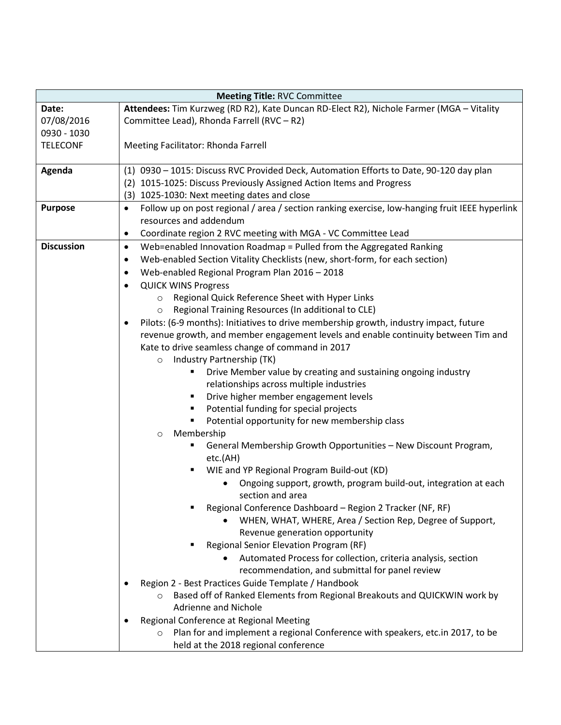| <b>Meeting Title: RVC Committee</b> |                                                                                                             |  |
|-------------------------------------|-------------------------------------------------------------------------------------------------------------|--|
| Date:                               | Attendees: Tim Kurzweg (RD R2), Kate Duncan RD-Elect R2), Nichole Farmer (MGA - Vitality                    |  |
| 07/08/2016                          | Committee Lead), Rhonda Farrell (RVC - R2)                                                                  |  |
| 0930 - 1030                         |                                                                                                             |  |
| <b>TELECONF</b>                     | Meeting Facilitator: Rhonda Farrell                                                                         |  |
|                                     |                                                                                                             |  |
| Agenda                              | (1) 0930 - 1015: Discuss RVC Provided Deck, Automation Efforts to Date, 90-120 day plan                     |  |
|                                     | 1015-1025: Discuss Previously Assigned Action Items and Progress<br>(2)                                     |  |
|                                     | (3) 1025-1030: Next meeting dates and close                                                                 |  |
| <b>Purpose</b>                      | Follow up on post regional / area / section ranking exercise, low-hanging fruit IEEE hyperlink<br>$\bullet$ |  |
|                                     | resources and addendum                                                                                      |  |
|                                     | Coordinate region 2 RVC meeting with MGA - VC Committee Lead<br>$\bullet$                                   |  |
| <b>Discussion</b>                   | Web=enabled Innovation Roadmap = Pulled from the Aggregated Ranking<br>$\bullet$                            |  |
|                                     | Web-enabled Section Vitality Checklists (new, short-form, for each section)<br>٠                            |  |
|                                     | Web-enabled Regional Program Plan 2016 - 2018<br>$\bullet$                                                  |  |
|                                     | <b>QUICK WINS Progress</b><br>$\bullet$                                                                     |  |
|                                     | Regional Quick Reference Sheet with Hyper Links<br>$\circ$                                                  |  |
|                                     | Regional Training Resources (In additional to CLE)<br>$\circ$                                               |  |
|                                     | Pilots: (6-9 months): Initiatives to drive membership growth, industry impact, future                       |  |
|                                     | revenue growth, and member engagement levels and enable continuity between Tim and                          |  |
|                                     | Kate to drive seamless change of command in 2017                                                            |  |
|                                     | Industry Partnership (TK)<br>$\circ$                                                                        |  |
|                                     | Drive Member value by creating and sustaining ongoing industry<br>٠                                         |  |
|                                     | relationships across multiple industries                                                                    |  |
|                                     | Drive higher member engagement levels<br>٠                                                                  |  |
|                                     | Potential funding for special projects<br>٠                                                                 |  |
|                                     | Potential opportunity for new membership class                                                              |  |
|                                     | Membership<br>$\circ$                                                                                       |  |
|                                     | General Membership Growth Opportunities - New Discount Program,                                             |  |
|                                     | etc.(AH)                                                                                                    |  |
|                                     | WIE and YP Regional Program Build-out (KD)<br>٠                                                             |  |
|                                     | Ongoing support, growth, program build-out, integration at each<br>section and area                         |  |
|                                     | Regional Conference Dashboard - Region 2 Tracker (NF, RF)                                                   |  |
|                                     | WHEN, WHAT, WHERE, Area / Section Rep, Degree of Support,                                                   |  |
|                                     | Revenue generation opportunity                                                                              |  |
|                                     | Regional Senior Elevation Program (RF)                                                                      |  |
|                                     | Automated Process for collection, criteria analysis, section                                                |  |
|                                     | recommendation, and submittal for panel review                                                              |  |
|                                     | Region 2 - Best Practices Guide Template / Handbook                                                         |  |
|                                     | Based off of Ranked Elements from Regional Breakouts and QUICKWIN work by<br>$\circ$                        |  |
|                                     | <b>Adrienne and Nichole</b>                                                                                 |  |
|                                     | Regional Conference at Regional Meeting                                                                     |  |
|                                     | Plan for and implement a regional Conference with speakers, etc.in 2017, to be<br>$\circ$                   |  |
|                                     | held at the 2018 regional conference                                                                        |  |